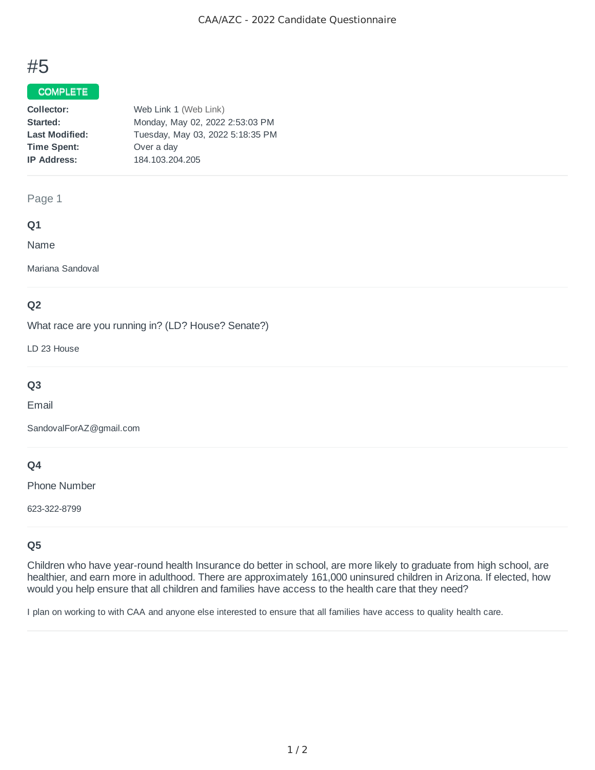# #5

## COMPLETE

| Collector:            | Web Link 1 (Web Link)            |
|-----------------------|----------------------------------|
| Started:              | Monday, May 02, 2022 2:53:03 PM  |
| <b>Last Modified:</b> | Tuesday, May 03, 2022 5:18:35 PM |
| <b>Time Spent:</b>    | Over a day                       |
| <b>IP Address:</b>    | 184.103.204.205                  |

### Page 1

## **Q1**

Name

Mariana Sandoval

## **Q2**

What race are you running in? (LD? House? Senate?)

LD 23 House

## **Q3**

Email

SandovalForAZ@gmail.com

## **Q4**

Phone Number

623-322-8799

## **Q5**

Children who have year-round health Insurance do better in school, are more likely to graduate from high school, are healthier, and earn more in adulthood. There are approximately 161,000 uninsured children in Arizona. If elected, how would you help ensure that all children and families have access to the health care that they need?

I plan on working to with CAA and anyone else interested to ensure that all families have access to quality health care.